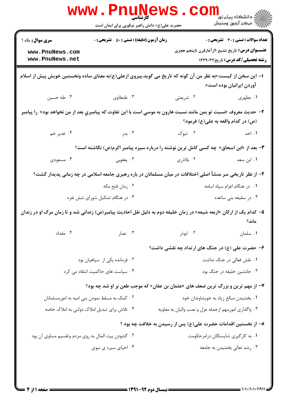|                                                                                                                                                         | <b>WWW.Pnungth</b><br>حضرت علی(ع): دانش راهبر نیکویی برای ایمان است                                                 |                                                      | ر دانشکاه پيام نور ■<br>ار⊂ مرکز آزمون وسنجش                                                                                                     |  |  |
|---------------------------------------------------------------------------------------------------------------------------------------------------------|---------------------------------------------------------------------------------------------------------------------|------------------------------------------------------|--------------------------------------------------------------------------------------------------------------------------------------------------|--|--|
| <b>سری سوال :</b> یک ۱<br>www.PnuNews.com<br>www.PnuNews.net                                                                                            | <b>زمان آزمون (دقیقه) : تستی : 50 ٪ تشریحی : 0</b>                                                                  |                                                      | <b>تعداد سوالات : تستي : 30 ٪ تشريحي : 0</b><br><b>عنـــوان درس:</b> تاریخ تشیع ۱۱زآغازقرن تاپنجم هجری<br><b>رشته تحصیلی/کد درس:</b> تاریخ229121 |  |  |
| ا– این سخن از کیست:«به نظر من آن گونه که تاریخ می گوید،پیروی ازعلی(ع)به معنای ساده ونخستین خویش پیش از اسلام<br>آوردن ایرانیان بوده است».               |                                                                                                                     |                                                      |                                                                                                                                                  |  |  |
| ۰۴ طه حسین                                                                                                                                              | ۰۳ طنطاوی                                                                                                           | ۰۲ شریعتی                                            | ۰۱ مطهری                                                                                                                                         |  |  |
| ٢-  حديث معروف «نسبت تو بمن مانند نسبت هارون به موسي است با اين تفاوت كه پيامبري بعد از من نخواهد بود»  را پيامبر<br>(ص) در کدام واقعه به علی(ع) فرمود؟ |                                                                                                                     |                                                      |                                                                                                                                                  |  |  |
| ۰۴ غدير خم                                                                                                                                              | . بدر $\cdot$ ۳                                                                                                     | ۰۲ تبوک                                              | ۰۱ احد                                                                                                                                           |  |  |
| ۳- بعد از «ابن اسحاق» چه کسی کامل ترین نوشته را درباره سیره پیامبر اکرم(ص) نگاشته است؟                                                                  |                                                                                                                     |                                                      |                                                                                                                                                  |  |  |
| ۰۴ مسعودی                                                                                                                                               | ۰۳ يعقوبي                                                                                                           | ۰۲ بلاذری                                            | ۰۱ ابن سعد                                                                                                                                       |  |  |
| ۴– از نظر تاریخی سر منشأ اصلی اختلافات در میان مسلمانان در باره رهبری جامعه اسلامی در چه زمانی پدیدار گشت؟                                              |                                                                                                                     |                                                      |                                                                                                                                                  |  |  |
|                                                                                                                                                         | ۰۲ زمان فتح مکه<br>۰۱ در هنگام اعزام سپاه اسامه                                                                     |                                                      |                                                                                                                                                  |  |  |
| ۰۴ در هنگام تشکیل شورای شش نفره                                                                                                                         |                                                                                                                     | ۰۳ در سقیفه بنی ساعده                                |                                                                                                                                                  |  |  |
|                                                                                                                                                         | ۵– کدام یک از ارکان «اربعه شیعه» در زمان خلیفه دوم به دلیل نقل احادیث پیامبر(ص) زندانی شد و تا زمان مرگ او در زندان |                                                      | ماند؟                                                                                                                                            |  |  |
| ۰۴ مقداد                                                                                                                                                | ۰۳ عمار                                                                                                             | ۰۲ ابوذر                                             | ٠١ سلمان                                                                                                                                         |  |  |
|                                                                                                                                                         |                                                                                                                     | ۶- حضرت علی (ع) در جنگ های ارتداد چه نقشی داشت؟      |                                                                                                                                                  |  |  |
|                                                                                                                                                         | ۰۲ فرمانده یکی از سپاهیان بود                                                                                       |                                                      | ۰۱ نقش فعالی در جنگ نداشت                                                                                                                        |  |  |
| ۰۴ سیاست های حاکمیت انتقاد می کرد                                                                                                                       |                                                                                                                     |                                                      | ۰۳ جانشین خلیفه در جنگ بود                                                                                                                       |  |  |
|                                                                                                                                                         | ۷- از مهم ترین و بزرگ ترین ضعف های «عثمان بن عفان» که موجب طعن بر او شد چه بود؟                                     |                                                      |                                                                                                                                                  |  |  |
| ۰۲ کمک به مسلط نمودن بنی امیه به امورمسلمانان                                                                                                           |                                                                                                                     | ٠١ بخشيدن مبالغ زياد به خويشاوندان خود               |                                                                                                                                                  |  |  |
|                                                                                                                                                         | ۰۴ تلاش برای تبدیل املاک دولتی به املاک خاصه                                                                        | ۰۳ واگذاري امورمهم ازجمله عزل و نصب واليان به معاويه |                                                                                                                                                  |  |  |
| ۸– از نخستین اقدامات حضرت علی(ع) پس از رسیدن به خلافت چه بود ؟                                                                                          |                                                                                                                     |                                                      |                                                                                                                                                  |  |  |
| ۰۲ گشودن بیت المال به روی مردم وتقسیم مساوی آن بود                                                                                                      |                                                                                                                     | ٠١. به كارگيرى شايستگان درامرحكومت                   |                                                                                                                                                  |  |  |
|                                                                                                                                                         | ۰۴ احیای سیره ی نبوی                                                                                                |                                                      | ۰۳ رشد تعالى بخشيدن به جامعه                                                                                                                     |  |  |
|                                                                                                                                                         |                                                                                                                     |                                                      |                                                                                                                                                  |  |  |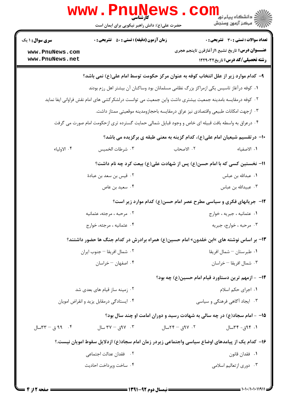| www.PnuNews<br>دانشگاه پیام نور <mark>−</mark><br>ا∜ مرکز آزمون وسنجش<br>حضرت علی(ع): دانش راهبر نیکویی برای ایمان است<br><b>زمان آزمون (دقیقه) : تستی : 50 ٪ تشریحی : 0</b><br><b>سری سوال : ۱ یک</b><br>تعداد سوالات : تستي : 30 ٪ تشريحي : 0<br><b>عنـــوان درس:</b> تاریخ تشیع اازآغازقرن تاپنجم هجری<br>www.PnuNews.com<br>www.PnuNews.net<br><b>رشته تحصیلی/کد درس:</b> تاریخ22,2221<br>۹– کدام موارد زیر از علل انتخاب کوفه به عنوان مرکز حکومت توسط امام علی(ع) نمی باشد؟<br>۰۱ کوفه درآغاز تاسیس یکی ازمراکز بزرگ نظامی مسلمانان بود وساکنان آن بیشتر اهل رزم بودند<br><sup>۲</sup> ۰ کوفه درمقایسه بامدینه جمعیت بیشتری داشت واین جمعیت می توانست درلشکر کشی های امام نقش فراوانی ایفا نماید<br>۰۳ ازجهت امكانات طبيعى واقتصادى نيز عراق درمقايسه باحجازومدينه موقعيتى ممتاز داشت.<br>۰۴ درعراق به واسطه بافت قبیله ای خاص و وجود قبایل شمالی حمایت گسترده تری ازحکومت امام صورت می گرفت<br>∙ا− درتقسیم شیعیان امام علی(ع)، کدام گزینه به معنی طبقه ی برگزیده می باشد؟<br>۰۴ الاولياء<br>٢. الاصحاب<br>۰۳ شرطات الخميس<br>٠١. الاصفياء |
|--------------------------------------------------------------------------------------------------------------------------------------------------------------------------------------------------------------------------------------------------------------------------------------------------------------------------------------------------------------------------------------------------------------------------------------------------------------------------------------------------------------------------------------------------------------------------------------------------------------------------------------------------------------------------------------------------------------------------------------------------------------------------------------------------------------------------------------------------------------------------------------------------------------------------------------------------------------------------------------------------------------------------------------------------|
|                                                                                                                                                                                                                                                                                                                                                                                                                                                                                                                                                                                                                                                                                                                                                                                                                                                                                                                                                                                                                                                  |
|                                                                                                                                                                                                                                                                                                                                                                                                                                                                                                                                                                                                                                                                                                                                                                                                                                                                                                                                                                                                                                                  |
|                                                                                                                                                                                                                                                                                                                                                                                                                                                                                                                                                                                                                                                                                                                                                                                                                                                                                                                                                                                                                                                  |
|                                                                                                                                                                                                                                                                                                                                                                                                                                                                                                                                                                                                                                                                                                                                                                                                                                                                                                                                                                                                                                                  |
|                                                                                                                                                                                                                                                                                                                                                                                                                                                                                                                                                                                                                                                                                                                                                                                                                                                                                                                                                                                                                                                  |
|                                                                                                                                                                                                                                                                                                                                                                                                                                                                                                                                                                                                                                                                                                                                                                                                                                                                                                                                                                                                                                                  |
|                                                                                                                                                                                                                                                                                                                                                                                                                                                                                                                                                                                                                                                                                                                                                                                                                                                                                                                                                                                                                                                  |
|                                                                                                                                                                                                                                                                                                                                                                                                                                                                                                                                                                                                                                                                                                                                                                                                                                                                                                                                                                                                                                                  |
|                                                                                                                                                                                                                                                                                                                                                                                                                                                                                                                                                                                                                                                                                                                                                                                                                                                                                                                                                                                                                                                  |
|                                                                                                                                                                                                                                                                                                                                                                                                                                                                                                                                                                                                                                                                                                                                                                                                                                                                                                                                                                                                                                                  |
| 11– نخستین کسی که با امام حسن(ع) پس از شهادت علی(ع) بیعت کرد چه نام داشت؟                                                                                                                                                                                                                                                                                                                                                                                                                                                                                                                                                                                                                                                                                                                                                                                                                                                                                                                                                                        |
| ٠١. عبدالله بن عباس<br>۰۲ قیس بن سعد بن عبادهٔ                                                                                                                                                                                                                                                                                                                                                                                                                                                                                                                                                                                                                                                                                                                                                                                                                                                                                                                                                                                                   |
| ۰۳ عبیدالله بن عباس<br>۰۴ سعید بن عاص                                                                                                                                                                                                                                                                                                                                                                                                                                                                                                                                                                                                                                                                                                                                                                                                                                                                                                                                                                                                            |
| 12- جریانهای فکری و سیاسی مطرح عصر امام حسن(ع) کدام موارد زیر است؟                                                                                                                                                                                                                                                                                                                                                                                                                                                                                                                                                                                                                                                                                                                                                                                                                                                                                                                                                                               |
| ۰۱ عثمانيه ، جبريه ، خوارج<br>۰۲ مرحبه ، مرجئه، عثمانیه                                                                                                                                                                                                                                                                                                                                                                                                                                                                                                                                                                                                                                                                                                                                                                                                                                                                                                                                                                                          |
| ۰۳ مرحبه ، خوارج، جبریه<br>۰۴ عثمانیه ، مرجئه، خوارج                                                                                                                                                                                                                                                                                                                                                                                                                                                                                                                                                                                                                                                                                                                                                                                                                                                                                                                                                                                             |
| ۱۳- بر اساس نوشته های »ابن خلدون» امام حسین(ع) همراه برادرش در کدام جنگ ها حضور داشتند؟                                                                                                                                                                                                                                                                                                                                                                                                                                                                                                                                                                                                                                                                                                                                                                                                                                                                                                                                                          |
| ٠٢ شمال افريقا – جنوب ايران<br>۰۱ طبرستان – شمال افريقا                                                                                                                                                                                                                                                                                                                                                                                                                                                                                                                                                                                                                                                                                                                                                                                                                                                                                                                                                                                          |
| ۰۴ اصفهان – خراسان<br>۰۳ شمال افريقا – خراسان                                                                                                                                                                                                                                                                                                                                                                                                                                                                                                                                                                                                                                                                                                                                                                                                                                                                                                                                                                                                    |
| ۱۴– - ازمهم ترین دستاورد قیام امام حسین(ع) چه بود؟                                                                                                                                                                                                                                                                                                                                                                                                                                                                                                                                                                                                                                                                                                                                                                                                                                                                                                                                                                                               |
| ۰۱ اجرای حکم اسلام<br>۰۲ زمینه ساز قیام های بعدی شد                                                                                                                                                                                                                                                                                                                                                                                                                                                                                                                                                                                                                                                                                                                                                                                                                                                                                                                                                                                              |
| ۰۴ ایستادگی درمقابل یزید و انقراض امویان<br>۰۳ ایجاد آگاهی فرهنگی و سیاسی                                                                                                                                                                                                                                                                                                                                                                                                                                                                                                                                                                                                                                                                                                                                                                                                                                                                                                                                                                        |
| ۱۵- - امام سجاد(ع) در چه سالی به شهادت رسید و دوران امامت او چند سال بود؟                                                                                                                                                                                                                                                                                                                                                                                                                                                                                                                                                                                                                                                                                                                                                                                                                                                                                                                                                                        |
| ۰۳ . ۹۷ق – ۳۷ سال<br>۲. ۹۷ق – ۲۴سال<br>۰۱. ۹۴ق- ۳۴سال<br>۰۴ ق – ۳۳سال                                                                                                                                                                                                                                                                                                                                                                                                                                                                                                                                                                                                                                                                                                                                                                                                                                                                                                                                                                            |
| ۱۶– کدام یک از پیامدهای اوضاع سیاسی واجتماعی زیردر زمان امام سجاد(ع) ازدلایل سقوط امویان نیست.؟                                                                                                                                                                                                                                                                                                                                                                                                                                                                                                                                                                                                                                                                                                                                                                                                                                                                                                                                                  |
| ٢. فقدان عدالت اجتماعي<br>٠١. فقدان قانون                                                                                                                                                                                                                                                                                                                                                                                                                                                                                                                                                                                                                                                                                                                                                                                                                                                                                                                                                                                                        |
| ۰۴ ساخت ويرداخت احاديث<br>۰۳ دوری ازتعالیم اسلامی                                                                                                                                                                                                                                                                                                                                                                                                                                                                                                                                                                                                                                                                                                                                                                                                                                                                                                                                                                                                |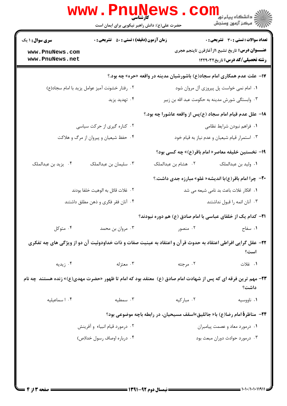|                                                                              | WWW.PILLING<br>حضرت علی(ع): دانش راهبر نیکویی برای ایمان است                                                   |                     |                                                                                                   |
|------------------------------------------------------------------------------|----------------------------------------------------------------------------------------------------------------|---------------------|---------------------------------------------------------------------------------------------------|
| <b>زمان آزمون (دقیقه) : تستی : 50 ٪ تشریحی : 0</b><br><b>سری سوال : ۱ یک</b> |                                                                                                                |                     | تعداد سوالات : تستي : 30 ٪ تشريحي : 0                                                             |
| www.PnuNews.com<br>www.PnuNews.net                                           |                                                                                                                |                     | <b>عنـــوان درس:</b> تاریخ تشیع ۱۱زآغازقرن تاپنجم هجری<br><b>رشته تحصیلی/کد درس:</b> تاریخ1۲۲۹۰۳۲ |
|                                                                              |                                                                                                                |                     | ۱۷– علت عدم همکاری امام سجاد(ع) باشورشیان مدینه در واقعه «حره» چه بود.؟                           |
|                                                                              | ٢. رفتار خشونت آميز عوامل يزيد با امام سجاد(ع)                                                                 |                     | ٠١ امام نمي خواست پل پيروزي آل مروان شود                                                          |
|                                                                              | ۰۴ تهدید یزید                                                                                                  |                     | ۰۳ وابستگی شورش مدینه به حکومت عبد الله بن زبیر                                                   |
|                                                                              |                                                                                                                |                     | ۱۸– علل عدم قیام امام سجاد (ع)پس از واقعه عاشورا چه بود.؟                                         |
|                                                                              | ۰۲ کناره گیری از حرکت سیاسی                                                                                    |                     | ٠١. فراهم نبودن شرايط نظامى                                                                       |
| ۰۴ حفظ شیعیان و پیروان از مرگ و هلاکت                                        |                                                                                                                |                     | ۰۳ استمرار قیام شیعیان و عدم نیاز به قیام خود                                                     |
|                                                                              |                                                                                                                |                     | ۱۹- نخستین خلیفه معاصر« امام باقر(ع)» چه کسی بود؟                                                 |
| ۰۴ يزيد بن عبدالملک                                                          | ۰۳ سلیمان بن عبدالملک                                                                                          | ٢. هشام بن عبدالملک | ٠١. وليد بن عبدالملك                                                                              |
|                                                                              |                                                                                                                |                     | <b>۲۰</b> - چرا امام باقر(ع)با اندیشه« غلو» مبارزه جدی داشت.؟                                     |
| ۰۲ غلات قائل به الوهيت خلفا بودند                                            |                                                                                                                |                     | ۰۱ افکار غلات باعث بد نامی شیعه می شد                                                             |
| ۰۴ آنان فقر فكرى و ذهن مطلق داشتند                                           |                                                                                                                |                     | ۰۳ آنان ائمه را قبول نداشتند                                                                      |
|                                                                              |                                                                                                                |                     | <b>۲۱</b> - کدام یک از خلفای عباسی با امام صادق (ع) هم دوره نبودند؟                               |
| ۰۴ متوکل                                                                     | ۰۳ مروان بن محمد                                                                                               | ۰۲ منصور            | ٠١ سفاح                                                                                           |
|                                                                              | ۲۲– عقل گرایی افراطی اعتقاد به حدوث قرآن و اعتقاد به عینیت صفات و ذات خداودوئیت آن دو از ویژگی های چه تفکری    |                     | است؟                                                                                              |
| ۰۴ زیدیه                                                                     | ۰۳ معتزله                                                                                                      | ۰۲ مرجئه            | ۰۱ غلات                                                                                           |
|                                                                              | ۲۳- مهم ترین فرقه ای که پس از شهادت امام صادق (ع)  معتقد بود که امام تا ظهور «حضرت مهدی(ع)» زنده هستند  چه نام |                     | داشت؟                                                                                             |
| ۰۴ اسماعیلیه                                                                 | ۰۳ سمطیه                                                                                                       | ۰۲ مبارکیه          | ۰۱ ناووسيه                                                                                        |
|                                                                              |                                                                                                                |                     | <b>۳۴</b> − مناظرهٔ امام رضا(ع) با« جاثلیق»اسقف مسیحیان، در رابطه باچه موضوعی بود؟                |
| ۰۲ درمورد قیام انبیاء و آفرینش                                               |                                                                                                                |                     | ۰۱ درمورد معاد و عصمت پیامبران                                                                    |
| ۰۴ درباره اوصاف رسول خدا(ص)                                                  |                                                                                                                |                     | ۰۳ درمورد حوادث دوران مبعث بود                                                                    |
|                                                                              |                                                                                                                |                     |                                                                                                   |